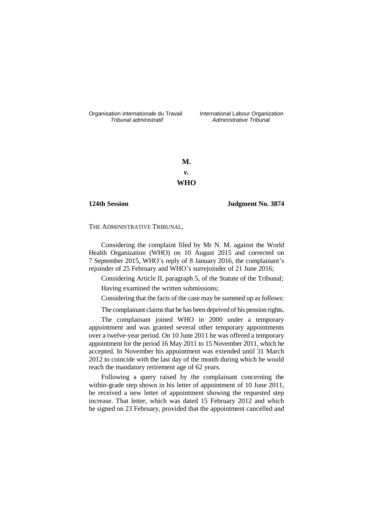Organisation internationale du Travail liternational Labour Organization<br> *Tribunal administratif Administrative Tribunal* 

*Tribunal administratif Administrative Tribunal*

**M.** *v.* **WHO**

**124th Session Judgment No. 3874**

THE ADMINISTRATIVE TRIBUNAL,

Considering the complaint filed by Mr N. M. against the World Health Organization (WHO) on 10 August 2015 and corrected on 7 September 2015, WHO's reply of 8 January 2016, the complainant's rejoinder of 25 February and WHO's surrejoinder of 21 June 2016;

Considering Article II, paragraph 5, of the Statute of the Tribunal;

Having examined the written submissions;

Considering that the facts of the case may be summed up as follows:

The complainant claims that he has been deprived of his pension rights.

The complainant joined WHO in 2000 under a temporary appointment and was granted several other temporary appointments over a twelve-year period. On 10 June 2011 he was offered a temporary appointment for the period 16 May 2011 to 15 November 2011, which he accepted. In November his appointment was extended until 31 March 2012 to coincide with the last day of the month during which he would reach the mandatory retirement age of 62 years.

Following a query raised by the complainant concerning the within-grade step shown in his letter of appointment of 10 June 2011, he received a new letter of appointment showing the requested step increase. That letter, which was dated 15 February 2012 and which he signed on 23 February, provided that the appointment cancelled and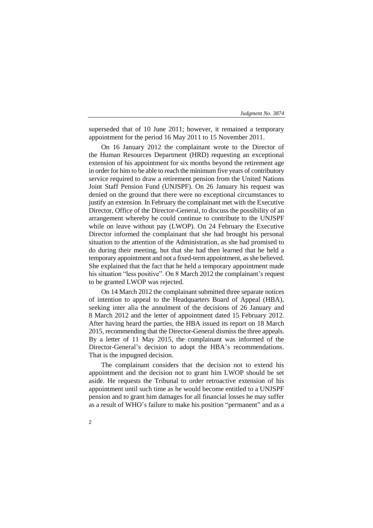superseded that of 10 June 2011; however, it remained a temporary appointment for the period 16 May 2011 to 15 November 2011.

On 16 January 2012 the complainant wrote to the Director of the Human Resources Department (HRD) requesting an exceptional extension of his appointment for six months beyond the retirement age in order for him to be able to reach the minimum five years of contributory service required to draw a retirement pension from the United Nations Joint Staff Pension Fund (UNJSPF). On 26 January his request was denied on the ground that there were no exceptional circumstances to justify an extension. In February the complainant met with the Executive Director, Office of the Director-General, to discuss the possibility of an arrangement whereby he could continue to contribute to the UNJSPF while on leave without pay (LWOP). On 24 February the Executive Director informed the complainant that she had brought his personal situation to the attention of the Administration, as she had promised to do during their meeting, but that she had then learned that he held a temporary appointment and not a fixed-term appointment, as she believed. She explained that the fact that he held a temporary appointment made his situation "less positive". On 8 March 2012 the complainant's request to be granted LWOP was rejected.

On 14 March 2012 the complainant submitted three separate notices of intention to appeal to the Headquarters Board of Appeal (HBA), seeking inter alia the annulment of the decisions of 26 January and 8 March 2012 and the letter of appointment dated 15 February 2012. After having heard the parties, the HBA issued its report on 18 March 2015, recommending that the Director-General dismiss the three appeals. By a letter of 11 May 2015, the complainant was informed of the Director-General's decision to adopt the HBA's recommendations. That is the impugned decision.

The complainant considers that the decision not to extend his appointment and the decision not to grant him LWOP should be set aside. He requests the Tribunal to order retroactive extension of his appointment until such time as he would become entitled to a UNJSPF pension and to grant him damages for all financial losses he may suffer as a result of WHO's failure to make his position "permanent" and as a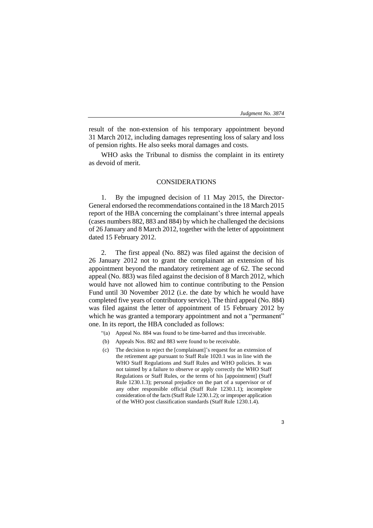3

result of the non-extension of his temporary appointment beyond 31 March 2012, including damages representing loss of salary and loss of pension rights. He also seeks moral damages and costs.

WHO asks the Tribunal to dismiss the complaint in its entirety as devoid of merit.

# CONSIDERATIONS

1. By the impugned decision of 11 May 2015, the Director-General endorsed the recommendations contained in the 18 March 2015 report of the HBA concerning the complainant's three internal appeals (cases numbers 882, 883 and 884) by which he challenged the decisions of 26 January and 8 March 2012, together with the letter of appointment dated 15 February 2012.

2. The first appeal (No. 882) was filed against the decision of 26 January 2012 not to grant the complainant an extension of his appointment beyond the mandatory retirement age of 62. The second appeal (No. 883) was filed against the decision of 8 March 2012, which would have not allowed him to continue contributing to the Pension Fund until 30 November 2012 (i.e. the date by which he would have completed five years of contributory service). The third appeal (No. 884) was filed against the letter of appointment of 15 February 2012 by which he was granted a temporary appointment and not a "permanent" one. In its report, the HBA concluded as follows:

- "(a) Appeal No. 884 was found to be time-barred and thus irreceivable.
- (b) Appeals Nos. 882 and 883 were found to be receivable.
- (c) The decision to reject the [complainant]'s request for an extension of the retirement age pursuant to Staff Rule 1020.1 was in line with the WHO Staff Regulations and Staff Rules and WHO policies. It was not tainted by a failure to observe or apply correctly the WHO Staff Regulations or Staff Rules, or the terms of his [appointment] (Staff Rule 1230.1.3); personal prejudice on the part of a supervisor or of any other responsible official (Staff Rule 1230.1.1); incomplete consideration of the facts (Staff Rule 1230.1.2); or improper application of the WHO post classification standards (Staff Rule 1230.1.4).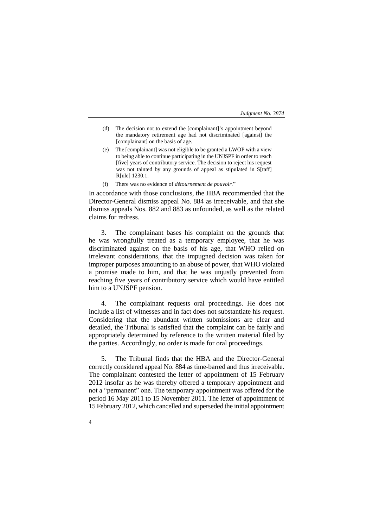- (d) The decision not to extend the [complainant]'s appointment beyond the mandatory retirement age had not discriminated [against] the [complainant] on the basis of age.
- (e) The [complainant] was not eligible to be granted a LWOP with a view to being able to continue participating in the UNJSPF in order to reach [five] years of contributory service. The decision to reject his request was not tainted by any grounds of appeal as stipulated in S[taff] R[ule] 1230.1.
- (f) There was no evidence of *détournement de pouvoir*."

In accordance with those conclusions, the HBA recommended that the Director-General dismiss appeal No. 884 as irreceivable, and that she dismiss appeals Nos. 882 and 883 as unfounded, as well as the related claims for redress.

3. The complainant bases his complaint on the grounds that he was wrongfully treated as a temporary employee, that he was discriminated against on the basis of his age, that WHO relied on irrelevant considerations, that the impugned decision was taken for improper purposes amounting to an abuse of power, that WHO violated a promise made to him, and that he was unjustly prevented from reaching five years of contributory service which would have entitled him to a UNJSPF pension.

4. The complainant requests oral proceedings. He does not include a list of witnesses and in fact does not substantiate his request. Considering that the abundant written submissions are clear and detailed, the Tribunal is satisfied that the complaint can be fairly and appropriately determined by reference to the written material filed by the parties. Accordingly, no order is made for oral proceedings.

5. The Tribunal finds that the HBA and the Director-General correctly considered appeal No. 884 as time-barred and thus irreceivable. The complainant contested the letter of appointment of 15 February 2012 insofar as he was thereby offered a temporary appointment and not a "permanent" one. The temporary appointment was offered for the period 16 May 2011 to 15 November 2011. The letter of appointment of 15 February 2012, which cancelled and superseded the initial appointment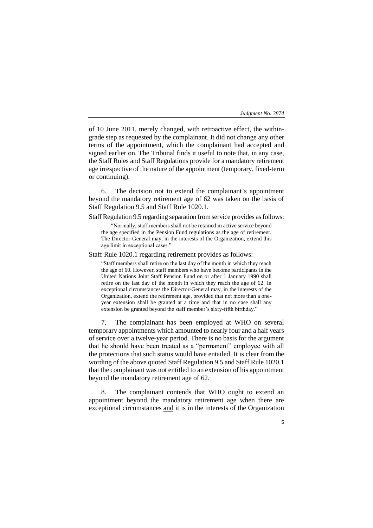of 10 June 2011, merely changed, with retroactive effect, the withingrade step as requested by the complainant. It did not change any other terms of the appointment, which the complainant had accepted and signed earlier on. The Tribunal finds it useful to note that, in any case, the Staff Rules and Staff Regulations provide for a mandatory retirement age irrespective of the nature of the appointment (temporary, fixed-term or continuing).

6. The decision not to extend the complainant's appointment beyond the mandatory retirement age of 62 was taken on the basis of Staff Regulation 9.5 and Staff Rule 1020.1.

Staff Regulation 9.5 regarding separation from service provides as follows:

"Normally, staff members shall not be retained in active service beyond the age specified in the Pension Fund regulations as the age of retirement. The Director-General may, in the interests of the Organization, extend this age limit in exceptional cases."

Staff Rule 1020.1 regarding retirement provides as follows:

"Staff members shall retire on the last day of the month in which they reach the age of 60. However, staff members who have become participants in the United Nations Joint Staff Pension Fund on or after 1 January 1990 shall retire on the last day of the month in which they reach the age of 62. In exceptional circumstances the Director-General may, in the interests of the Organization, extend the retirement age, provided that not more than a oneyear extension shall be granted at a time and that in no case shall any extension be granted beyond the staff member's sixty-fifth birthday."

7. The complainant has been employed at WHO on several temporary appointments which amounted to nearly four and a half years of service over a twelve-year period. There is no basis for the argument that he should have been treated as a "permanent" employee with all the protections that such status would have entailed. It is clear from the wording of the above quoted Staff Regulation 9.5 and Staff Rule 1020.1 that the complainant was not entitled to an extension of his appointment beyond the mandatory retirement age of 62.

The complainant contends that WHO ought to extend an appointment beyond the mandatory retirement age when there are exceptional circumstances and it is in the interests of the Organization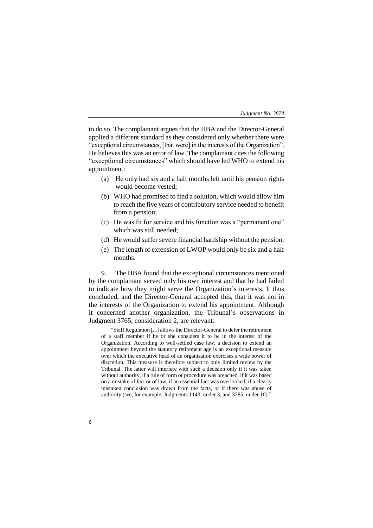to do so. The complainant argues that the HBA and the Director-General applied a different standard as they considered only whether there were "exceptional circumstances, [that were] in the interests of the Organization". He believes this was an error of law. The complainant cites the following "exceptional circumstances" which should have led WHO to extend his appointment:

- (a) He only had six and a half months left until his pension rights would become vested;
- (b) WHO had promised to find a solution, which would allow him to reach the five years of contributory service needed to benefit from a pension;
- (c) He was fit for service and his function was a "permanent one" which was still needed;
- (d) He would suffer severe financial hardship without the pension;
- (e) The length of extension of LWOP would only be six and a half months.

9. The HBA found that the exceptional circumstances mentioned by the complainant served only his own interest and that he had failed to indicate how they might serve the Organization's interests. It thus concluded, and the Director-General accepted this, that it was not in the interests of the Organization to extend his appointment. Although it concerned another organization, the Tribunal's observations in Judgment 3765, consideration 2, are relevant:

"Staff Regulation [...] allows the Director-General to defer the retirement of a staff member if he or she considers it to be in the interest of the Organization. According to well-settled case law, a decision to extend an appointment beyond the statutory retirement age is an exceptional measure over which the executive head of an organisation exercises a wide power of discretion. This measure is therefore subject to only limited review by the Tribunal. The latter will interfere with such a decision only if it was taken without authority, if a rule of form or procedure was breached, if it was based on a mistake of fact or of law, if an essential fact was overlooked, if a clearly mistaken conclusion was drawn from the facts, or if there was abuse of authority (see, for example, Judgments 1143, under 3, and 3285, under 10)."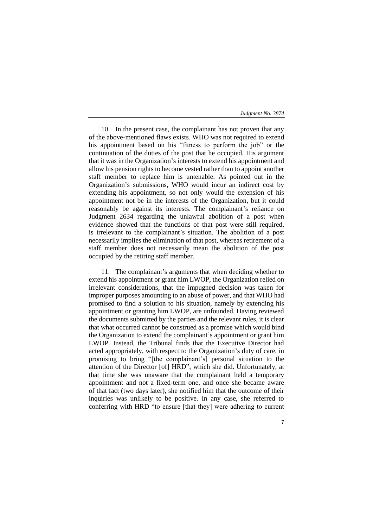10. In the present case, the complainant has not proven that any of the above-mentioned flaws exists. WHO was not required to extend his appointment based on his "fitness to perform the job" or the continuation of the duties of the post that he occupied. His argument that it was in the Organization's interests to extend his appointment and allow his pension rights to become vested rather than to appoint another staff member to replace him is untenable. As pointed out in the Organization's submissions, WHO would incur an indirect cost by extending his appointment, so not only would the extension of his appointment not be in the interests of the Organization, but it could reasonably be against its interests. The complainant's reliance on Judgment 2634 regarding the unlawful abolition of a post when evidence showed that the functions of that post were still required, is irrelevant to the complainant's situation. The abolition of a post necessarily implies the elimination of that post, whereas retirement of a staff member does not necessarily mean the abolition of the post occupied by the retiring staff member.

11. The complainant's arguments that when deciding whether to extend his appointment or grant him LWOP, the Organization relied on irrelevant considerations, that the impugned decision was taken for improper purposes amounting to an abuse of power, and that WHO had promised to find a solution to his situation, namely by extending his appointment or granting him LWOP, are unfounded. Having reviewed the documents submitted by the parties and the relevant rules, it is clear that what occurred cannot be construed as a promise which would bind the Organization to extend the complainant's appointment or grant him LWOP. Instead, the Tribunal finds that the Executive Director had acted appropriately, with respect to the Organization's duty of care, in promising to bring "[the complainant's] personal situation to the attention of the Director [of] HRD", which she did. Unfortunately, at that time she was unaware that the complainant held a temporary appointment and not a fixed-term one, and once she became aware of that fact (two days later), she notified him that the outcome of their inquiries was unlikely to be positive. In any case, she referred to conferring with HRD "to ensure [that they] were adhering to current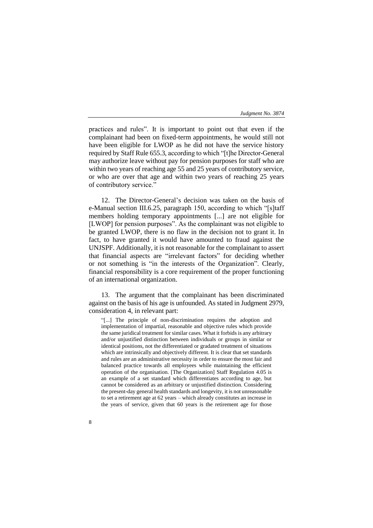practices and rules". It is important to point out that even if the complainant had been on fixed-term appointments, he would still not have been eligible for LWOP as he did not have the service history required by Staff Rule 655.3, according to which "[t]he Director-General may authorize leave without pay for pension purposes for staff who are within two years of reaching age 55 and 25 years of contributory service, or who are over that age and within two years of reaching 25 years of contributory service."

12. The Director-General's decision was taken on the basis of e-Manual section III.6.25, paragraph 150, according to which "[s]taff members holding temporary appointments [...] are not eligible for [LWOP] for pension purposes". As the complainant was not eligible to be granted LWOP, there is no flaw in the decision not to grant it. In fact, to have granted it would have amounted to fraud against the UNJSPF. Additionally, it is not reasonable for the complainant to assert that financial aspects are "irrelevant factors" for deciding whether or not something is "in the interests of the Organization". Clearly, financial responsibility is a core requirement of the proper functioning of an international organization.

13. The argument that the complainant has been discriminated against on the basis of his age is unfounded. As stated in Judgment 2979, consideration 4, in relevant part:

"[...] The principle of non-discrimination requires the adoption and implementation of impartial, reasonable and objective rules which provide the same juridical treatment for similar cases. What it forbids is any arbitrary and/or unjustified distinction between individuals or groups in similar or identical positions, not the differentiated or gradated treatment of situations which are intrinsically and objectively different. It is clear that set standards and rules are an administrative necessity in order to ensure the most fair and balanced practice towards all employees while maintaining the efficient operation of the organisation. [The Organization] Staff Regulation 4.05 is an example of a set standard which differentiates according to age, but cannot be considered as an arbitrary or unjustified distinction. Considering the present-day general health standards and longevity, it is not unreasonable to set a retirement age at 62 years – which already constitutes an increase in the years of service, given that 60 years is the retirement age for those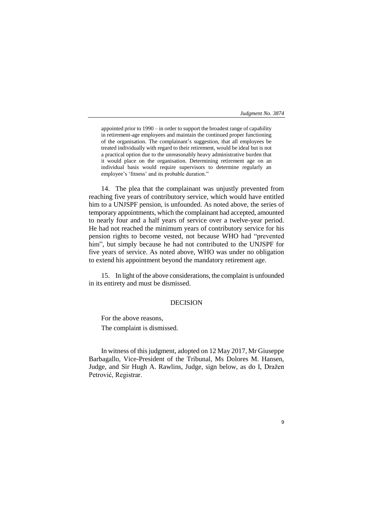appointed prior to 1990 – in order to support the broadest range of capability in retirement-age employees and maintain the continued proper functioning of the organisation. The complainant's suggestion, that all employees be treated individually with regard to their retirement, would be ideal but is not a practical option due to the unreasonably heavy administrative burden that it would place on the organisation. Determining retirement age on an individual basis would require supervisors to determine regularly an employee's 'fitness' and its probable duration."

14. The plea that the complainant was unjustly prevented from reaching five years of contributory service, which would have entitled him to a UNJSPF pension, is unfounded. As noted above, the series of temporary appointments, which the complainant had accepted, amounted to nearly four and a half years of service over a twelve-year period. He had not reached the minimum years of contributory service for his pension rights to become vested, not because WHO had "prevented him", but simply because he had not contributed to the UNJSPF for five years of service. As noted above, WHO was under no obligation to extend his appointment beyond the mandatory retirement age.

15. In light of the above considerations, the complaint is unfounded in its entirety and must be dismissed.

# DECISION

For the above reasons, The complaint is dismissed.

In witness of this judgment, adopted on 12 May 2017, Mr Giuseppe Barbagallo, Vice-President of the Tribunal, Ms Dolores M. Hansen, Judge, and Sir Hugh A. Rawlins, Judge, sign below, as do I, Dražen Petrović, Registrar.